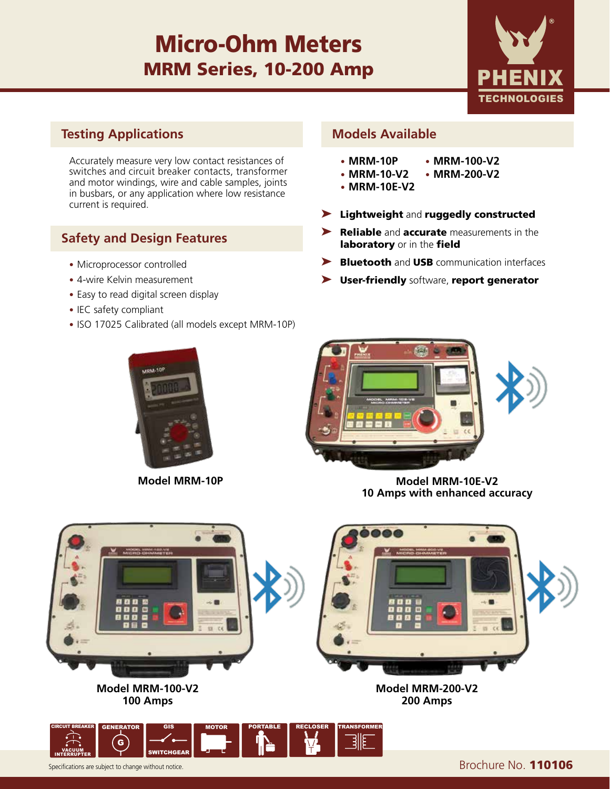# Micro-Ohm Meters MRM Series, 10-200 Amp



### **Testing Applications**

Accurately measure very low contact resistances of switches and circuit breaker contacts, transformer and motor windings, wire and cable samples, joints in busbars, or any application where low resistance current is required.

### **Safety and Design Features**

- Microprocessor controlled
- 4-wire Kelvin measurement
- Easy to read digital screen display
- IEC safety compliant
- ISO 17025 Calibrated (all models except MRM-10P)

#### **Models Available**

- **• MRM-10P**
- **• MRM-10-V2**
- **• MRM-10E-V2**
- ➤ Lightweight and ruggedly constructed

**• MRM-100-V2 • MRM-200-V2**

- ▶ Reliable and accurate measurements in the laboratory or in the field
- ▶ Bluetooth and USB communication interfaces
- ➤ User-friendly software, report generator





**Model MRM-10P Model MRM-10E-V2 10 Amps with enhanced accuracy**



Specifications are subject to change without notice. **Brochure No. 110106**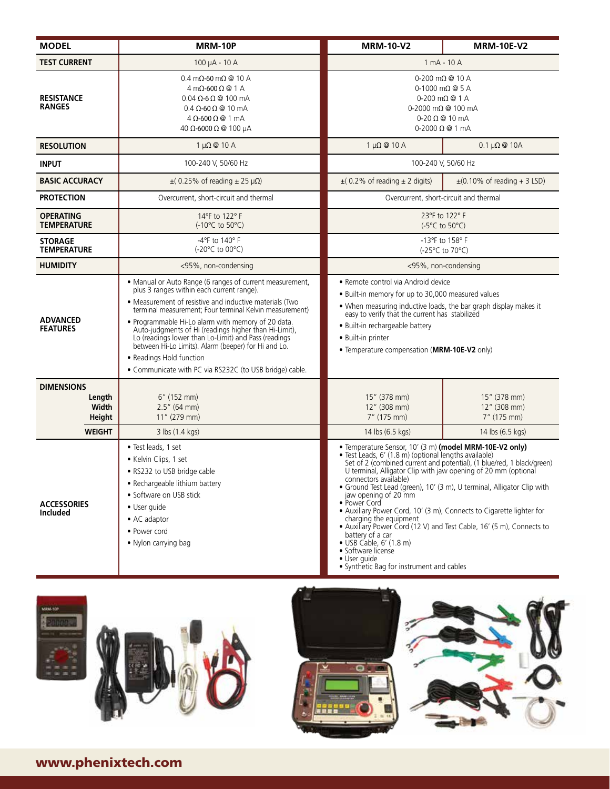| <b>MODEL</b>                                                    | MRM-10P                                                                                                                                                                                                                                                                                                                                                                                                                                                                                                                                           | <b>MRM-10-V2</b>                                                                                                                                                                                                                                                                                                                                                                                                                                                                                | <b>MRM-10E-V2</b>                                                                                                                                                                                                        |
|-----------------------------------------------------------------|---------------------------------------------------------------------------------------------------------------------------------------------------------------------------------------------------------------------------------------------------------------------------------------------------------------------------------------------------------------------------------------------------------------------------------------------------------------------------------------------------------------------------------------------------|-------------------------------------------------------------------------------------------------------------------------------------------------------------------------------------------------------------------------------------------------------------------------------------------------------------------------------------------------------------------------------------------------------------------------------------------------------------------------------------------------|--------------------------------------------------------------------------------------------------------------------------------------------------------------------------------------------------------------------------|
| <b>TEST CURRENT</b>                                             | 100 µA - 10 A                                                                                                                                                                                                                                                                                                                                                                                                                                                                                                                                     | 1 mA - 10 A                                                                                                                                                                                                                                                                                                                                                                                                                                                                                     |                                                                                                                                                                                                                          |
| <b>RESISTANCE</b><br><b>RANGES</b>                              | $0.4 \text{ mA}$ -60 m $\Omega$ @ 10 A<br>$4 \text{ mA}$ -600 $\Omega$ @ 1 A<br>$0.04 \Omega$ -6 $\Omega$ @ 100 mA<br>$0.4 \Omega$ -60 $\Omega$ @ 10 mA<br>$4 \Omega$ -600 $\Omega$ @ 1 mA<br>40 Ω-6000 Ω @ 100 µA                                                                                                                                                                                                                                                                                                                                | $0-200$ m $\Omega$ @ 10 A<br>$0-1000$ m $\Omega$ @ 5 A<br>$0 - 200$ m $\Omega$ @ 1 A<br>$0-2000$ m $\Omega$ @ 100 mA<br>$0 - 20 \Omega @ 10 mA$<br>$0 - 2000 \Omega @ 1 mA$                                                                                                                                                                                                                                                                                                                     |                                                                                                                                                                                                                          |
| <b>RESOLUTION</b>                                               | $1 \mu\Omega \n\otimes 10 A$                                                                                                                                                                                                                                                                                                                                                                                                                                                                                                                      | $1 \mu\Omega \n\otimes 10 A$                                                                                                                                                                                                                                                                                                                                                                                                                                                                    | $0.1 \mu\Omega \otimes 10A$                                                                                                                                                                                              |
| <b>INPUT</b>                                                    | 100-240 V, 50/60 Hz                                                                                                                                                                                                                                                                                                                                                                                                                                                                                                                               | 100-240 V, 50/60 Hz                                                                                                                                                                                                                                                                                                                                                                                                                                                                             |                                                                                                                                                                                                                          |
| <b>BASIC ACCURACY</b>                                           | $\pm$ (0.25% of reading $\pm$ 25 µ $\Omega$ )                                                                                                                                                                                                                                                                                                                                                                                                                                                                                                     | $\pm$ (0.2% of reading $\pm$ 2 digits)                                                                                                                                                                                                                                                                                                                                                                                                                                                          | $\pm$ (0.10% of reading + 3 LSD)                                                                                                                                                                                         |
| <b>PROTECTION</b>                                               | Overcurrent, short-circuit and thermal                                                                                                                                                                                                                                                                                                                                                                                                                                                                                                            | Overcurrent, short-circuit and thermal                                                                                                                                                                                                                                                                                                                                                                                                                                                          |                                                                                                                                                                                                                          |
| <b>OPERATING</b><br><b>TEMPERATURE</b>                          | 14°F to 122°F<br>$(-10^{\circ}C \text{ to } 50^{\circ}C)$                                                                                                                                                                                                                                                                                                                                                                                                                                                                                         | 23°F to 122°F<br>$(-5^{\circ}C \text{ to } 50^{\circ}C)$                                                                                                                                                                                                                                                                                                                                                                                                                                        |                                                                                                                                                                                                                          |
| <b>STORAGE</b><br><b>TEMPERATURE</b>                            | $-4$ °F to 140°F<br>$(-20^{\circ}C \text{ to } 00^{\circ}C)$                                                                                                                                                                                                                                                                                                                                                                                                                                                                                      | -13°F to 158°F<br>$(-25^{\circ}C \text{ to } 70^{\circ}C)$                                                                                                                                                                                                                                                                                                                                                                                                                                      |                                                                                                                                                                                                                          |
| <b>HUMIDITY</b>                                                 | <95%, non-condensing                                                                                                                                                                                                                                                                                                                                                                                                                                                                                                                              | <95%, non-condensing                                                                                                                                                                                                                                                                                                                                                                                                                                                                            |                                                                                                                                                                                                                          |
| <b>ADVANCED</b><br><b>FEATURES</b>                              | • Manual or Auto Range (6 ranges of current measurement,<br>plus 3 ranges within each current range).<br>• Measurement of resistive and inductive materials (Two<br>terminal measurement; Four terminal Kelvin measurement)<br>• Programmable Hi-Lo alarm with memory of 20 data.<br>Auto-judgments of Hi (readings higher than Hi-Limit),<br>Lo (readings lower than Lo-Limit) and Pass (readings<br>between Hi-Lo Limits). Alarm (beeper) for Hi and Lo.<br>• Readings Hold function<br>• Communicate with PC via RS232C (to USB bridge) cable. | • Remote control via Android device<br>. Built-in memory for up to 30,000 measured values<br>. When measuring inductive loads, the bar graph display makes it<br>easy to verify that the current has stabilized<br>· Built-in rechargeable battery<br>• Built-in printer<br>• Temperature compensation (MRM-10E-V2 only)                                                                                                                                                                        |                                                                                                                                                                                                                          |
| <b>DIMENSIONS</b><br>Length<br>Width<br>Height<br><b>WEIGHT</b> | 6" (152 mm)<br>$2.5''$ (64 mm)<br>11" (279 mm)<br>3 lbs (1.4 kgs)                                                                                                                                                                                                                                                                                                                                                                                                                                                                                 | 15" (378 mm)<br>12" (308 mm)<br>7" (175 mm)<br>14 lbs (6.5 kgs)                                                                                                                                                                                                                                                                                                                                                                                                                                 | 15" (378 mm)<br>12" (308 mm)<br>7" (175 mm)<br>14 lbs (6.5 kgs)                                                                                                                                                          |
| <b>ACCESSORIES</b><br><b>Included</b>                           | • Test leads, 1 set<br>• Kelvin Clips, 1 set<br>. RS232 to USB bridge cable<br>• Rechargeable lithium battery<br>• Software on USB stick<br>• User quide<br>$\bullet$ AC adaptor<br>• Power cord<br>• Nylon carrying bag                                                                                                                                                                                                                                                                                                                          | • Temperature Sensor, 10' (3 m) (model MRM-10E-V2 only)<br>· Test Leads, 6' (1.8 m) (optional lengths available)<br>U terminal, Alligator Clip with jaw opening of 20 mm (optional<br>connectors available)<br>jaw opening of 20 mm<br>• Power Cord<br>• Auxiliary Power Cord, 10' (3 m), Connects to Cigarette lighter for<br>charging the equipment<br>battery of a car<br>$\bullet$ USB Cable, 6' (1.8 m)<br>• Software license<br>· User guide<br>• Synthetic Bag for instrument and cables | Set of 2 (combined current and potential), (1 blue/red, 1 black/green)<br>· Ground Test Lead (green), 10' (3 m), U terminal, Alligator Clip with<br>• Auxiliary Power Cord (12 V) and Test Cable, 16' (5 m), Connects to |





## www.phenixtech.com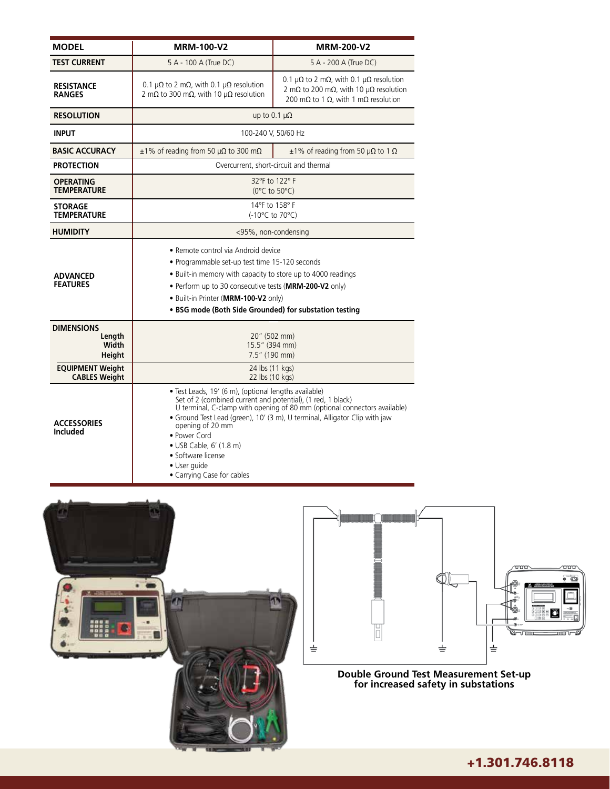| <b>MODEL</b>                                                              | MRM-100-V2                                                                                                                                                                                                                                                                                                                                                                                                         | <b>MRM-200-V2</b>                                                                                                                                                                                   |  |
|---------------------------------------------------------------------------|--------------------------------------------------------------------------------------------------------------------------------------------------------------------------------------------------------------------------------------------------------------------------------------------------------------------------------------------------------------------------------------------------------------------|-----------------------------------------------------------------------------------------------------------------------------------------------------------------------------------------------------|--|
| <b>TEST CURRENT</b>                                                       | 5 A - 100 A (True DC)                                                                                                                                                                                                                                                                                                                                                                                              | 5 A - 200 A (True DC)                                                                                                                                                                               |  |
| <b>RESISTANCE</b><br><b>RANGES</b>                                        | 0.1 $\mu\Omega$ to 2 m $\Omega$ , with 0.1 $\mu\Omega$ resolution<br>2 m $\Omega$ to 300 m $\Omega$ , with 10 $\mu\Omega$ resolution                                                                                                                                                                                                                                                                               | 0.1 $\mu\Omega$ to 2 m $\Omega$ , with 0.1 $\mu\Omega$ resolution<br>2 m $\Omega$ to 200 m $\Omega$ , with 10 $\mu\Omega$ resolution<br>200 m $\Omega$ to 1 $\Omega$ , with 1 m $\Omega$ resolution |  |
| <b>RESOLUTION</b>                                                         | up to 0.1 $\mu\Omega$                                                                                                                                                                                                                                                                                                                                                                                              |                                                                                                                                                                                                     |  |
| <b>INPUT</b>                                                              | 100-240 V, 50/60 Hz                                                                                                                                                                                                                                                                                                                                                                                                |                                                                                                                                                                                                     |  |
| <b>BASIC ACCURACY</b>                                                     | $\pm$ 1% of reading from 50 µ $\Omega$ to 300 m $\Omega$                                                                                                                                                                                                                                                                                                                                                           | $\pm 1\%$ of reading from 50 $\mu\Omega$ to 1 $\Omega$                                                                                                                                              |  |
| <b>PROTECTION</b>                                                         | Overcurrent, short-circuit and thermal                                                                                                                                                                                                                                                                                                                                                                             |                                                                                                                                                                                                     |  |
| <b>OPERATING</b><br><b>TEMPERATURE</b>                                    | 32°F to 122°F<br>$(0^{\circ}C$ to 50 $^{\circ}C)$                                                                                                                                                                                                                                                                                                                                                                  |                                                                                                                                                                                                     |  |
| <b>STORAGE</b><br><b>TEMPERATURE</b>                                      | 14°F to 158°F<br>(-10°C to 70°C)                                                                                                                                                                                                                                                                                                                                                                                   |                                                                                                                                                                                                     |  |
| <b>HUMIDITY</b>                                                           | <95%, non-condensing                                                                                                                                                                                                                                                                                                                                                                                               |                                                                                                                                                                                                     |  |
| <b>ADVANCED</b><br><b>FEATURES</b>                                        | · Remote control via Android device<br>• Programmable set-up test time 15-120 seconds<br>• Built-in memory with capacity to store up to 4000 readings<br>. Perform up to 30 consecutive tests (MRM-200-V2 only)<br>. Built-in Printer (MRM-100-V2 only)<br>• BSG mode (Both Side Grounded) for substation testing                                                                                                  |                                                                                                                                                                                                     |  |
| <b>DIMENSIONS</b><br>Lenath<br>Width<br>Height<br><b>EQUIPMENT Weight</b> | 20" (502 mm)<br>15.5" (394 mm)<br>7.5" (190 mm)                                                                                                                                                                                                                                                                                                                                                                    |                                                                                                                                                                                                     |  |
| <b>CABLES Weight</b>                                                      | 24 lbs (11 kgs)<br>22 lbs (10 kgs)                                                                                                                                                                                                                                                                                                                                                                                 |                                                                                                                                                                                                     |  |
| <b>ACCESSORIES</b><br><b>Included</b>                                     | · Test Leads, 19' (6 m), (optional lengths available)<br>Set of 2 (combined current and potential), (1 red, 1 black)<br>U terminal, C-clamp with opening of 80 mm (optional connectors available)<br>· Ground Test Lead (green), 10' (3 m), U terminal, Alligator Clip with jaw<br>opening of 20 mm<br>• Power Cord<br>• USB Cable, 6' (1.8 m)<br>· Software license<br>· User quide<br>• Carrying Case for cables |                                                                                                                                                                                                     |  |





**Double Ground Test Measurement Set-up for increased safety in substations**

### +1.301.746.8118